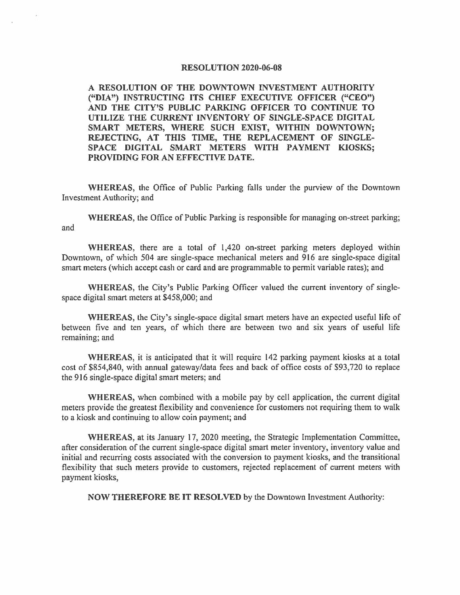## **RESOLUTION 2020-06-08**

**A RESOLUTION OF THE DOWNTOWN INVESTMENT AUTHORITY ("DIA") INSTRUCTING ITS CHIEF EXECUTIVE OFFICER ("CEO") AND THE CITY'S PUBLIC PARKING OFFICER TO CONTINUE TO UTILIZE THE CURRENT INVENTORY OF SINGLE-SPACE DIGITAL SMART METERS, WHERE SUCH EXIST, WITHIN DOWNTOWN; REJECTING, AT THIS TIME, THE REPLACEMENT OF SINGLE-SPACE DIGITAL SMART METERS WITH PAYMENT KIOSKS; PROVIDING FOR AN EFFECTIVE DATE.** 

**WHEREAS,** the Office of Public Parking falls under the purview of the Downtown Investment Authority; and

**WHEREAS,** the Office of Public Parking is responsible for managing on-street parking; and

**WHEREAS,** there are a total of 1,420 on-street parking meters deployed within Downtown, of which 504 are single-space mechanical meters and 916 are single-space digital smart meters (which accept cash or card and are programmable to permit variable rates); and

**WHEREAS,** the City's Public Parking Officer valued the current inventory of singlespace digital smart meters at \$458,000; and

**WHEREAS,** the City's single-space digital smart meters have an expected useful life of between five and ten years, of which there are between two and six years of useful life remaining; and

**WHEREAS,** it is anticipated that it will require 142 parking payment kiosks at a total cost of \$854,840, with annual gateway/data fees and back of office costs of \$93,720 to replace the 916 single-space digital smart meters; and

**WHEREAS,** when combined with a mobile pay by cell application, the current digital meters provide the greatest flexibility and convenience for customers not requiring them to walk to a kiosk and continuing to allow coin payment; and

**WHEREAS,** at its January 17, 2020 meeting, the Strategic Implementation Committee, after consideration of the current single-space digital smart meter inventory, inventory value and initial and recurring costs associated with the conversion to payment kiosks, and the transitional flexibility that such meters provide to customers, rejected replacement of current meters with payment kiosks,

**NOW THEREFORE BE IT RESOLVED** by the Downtown Investment Authority: